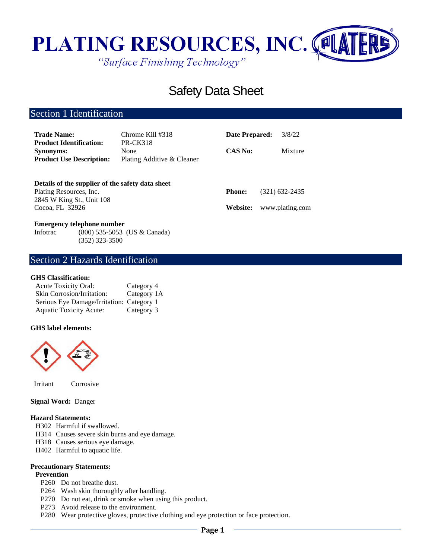

# Safety Data Sheet

# Section 1 Identification

| <b>Trade Name:</b><br><b>Product Identification:</b>                                                     | Chrome Kill #318<br><b>PR-CK318</b> | Date Prepared: | 3/8/22          |
|----------------------------------------------------------------------------------------------------------|-------------------------------------|----------------|-----------------|
| <b>Synonyms:</b><br><b>Product Use Description:</b>                                                      | None<br>Plating Additive & Cleaner  | <b>CAS No:</b> | Mixture         |
| Details of the supplier of the safety data sheet<br>Plating Resources, Inc.<br>2845 W King St., Unit 108 |                                     | <b>Phone:</b>  | (321) 632-2435  |
| Cocoa, FL 32926                                                                                          |                                     | Website:       | www.plating.com |

#### **Emergency telephone number**

Infotrac (800) 535-5053 (US & Canada) (352) 323-3500

# Section 2 Hazards Identification

#### **GHS Classification:**

| Acute Toxicity Oral:                      | Category 4  |
|-------------------------------------------|-------------|
| Skin Corrosion/Irritation:                | Category 1A |
| Serious Eye Damage/Irritation: Category 1 |             |
| <b>Aquatic Toxicity Acute:</b>            | Category 3  |

#### **GHS label elements:**



Irritant Corrosive

#### **Signal Word:** Danger

#### **Hazard Statements:**

- H302 Harmful if swallowed.
- H314 Causes severe skin burns and eye damage.
- H318 Causes serious eye damage.
- H402 Harmful to aquatic life.

#### **Precautionary Statements:**

#### **Prevention**

- P260 Do not breathe dust.
- P264 Wash skin thoroughly after handling.
- P270 Do not eat, drink or smoke when using this product.
- P273 Avoid release to the environment.
- P280 Wear protective gloves, protective clothing and eye protection or face protection.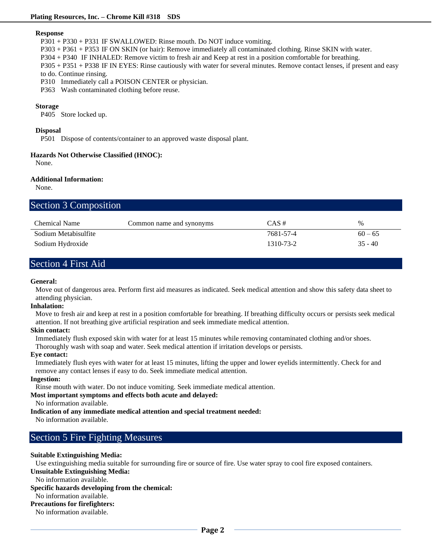#### **Response**

P301 + P330 + P331 IF SWALLOWED: Rinse mouth. Do NOT induce vomiting.

P303 + P361 + P353 IF ON SKIN (or hair): Remove immediately all contaminated clothing. Rinse SKIN with water.

P304 + P340 IF INHALED: Remove victim to fresh air and Keep at rest in a position comfortable for breathing.

P305 + P351 + P338 IF IN EYES: Rinse cautiously with water for several minutes. Remove contact lenses, if present and easy to do. Continue rinsing.

P310 Immediately call a POISON CENTER or physician.

P363 Wash contaminated clothing before reuse.

#### **Storage**

P405 Store locked up.

#### **Disposal**

P501 Dispose of contents/container to an approved waste disposal plant.

#### **Hazards Not Otherwise Classified (HNOC):**

None.

#### **Additional Information:**

None.

# Section 3 Composition

| Chemical Name        | Common name and synonyms | $CAS \#$  | $\%$      |
|----------------------|--------------------------|-----------|-----------|
| Sodium Metabisulfite |                          | 7681-57-4 | $60 - 65$ |
| Sodium Hydroxide     |                          | 1310-73-2 | $35 - 40$ |

# Section 4 First Aid

#### **General:**

Move out of dangerous area. Perform first aid measures as indicated. Seek medical attention and show this safety data sheet to attending physician.

#### **Inhalation:**

Move to fresh air and keep at rest in a position comfortable for breathing. If breathing difficulty occurs or persists seek medical attention. If not breathing give artificial respiration and seek immediate medical attention.

#### **Skin contact:**

Immediately flush exposed skin with water for at least 15 minutes while removing contaminated clothing and/or shoes. Thoroughly wash with soap and water. Seek medical attention if irritation develops or persists.

#### **Eye contact:**

Immediately flush eyes with water for at least 15 minutes, lifting the upper and lower eyelids intermittently. Check for and remove any contact lenses if easy to do. Seek immediate medical attention.

#### **Ingestion:**

Rinse mouth with water. Do not induce vomiting. Seek immediate medical attention.

**Most important symptoms and effects both acute and delayed:**

### No information available.

**Indication of any immediate medical attention and special treatment needed:**

No information available.

# Section 5 Fire Fighting Measures

## **Suitable Extinguishing Media:**

Use extinguishing media suitable for surrounding fire or source of fire. Use water spray to cool fire exposed containers.

### **Unsuitable Extinguishing Media:**

No information available.

### **Specific hazards developing from the chemical:**

# No information available.

**Precautions for firefighters:**

No information available.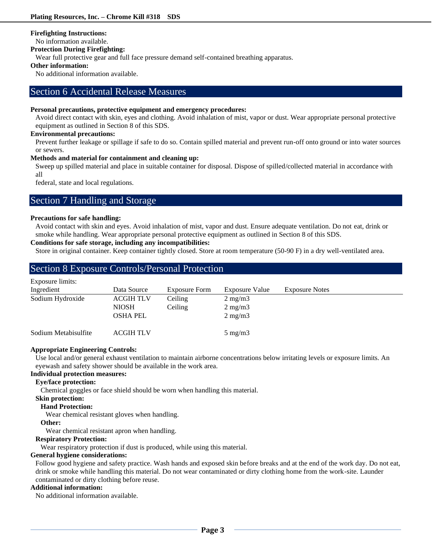#### **Firefighting Instructions:**

No information available.

#### **Protection During Firefighting:**

Wear full protective gear and full face pressure demand self-contained breathing apparatus.

### **Other information:**

No additional information available.

### Section 6 Accidental Release Measures

#### **Personal precautions, protective equipment and emergency procedures:**

Avoid direct contact with skin, eyes and clothing. Avoid inhalation of mist, vapor or dust. Wear appropriate personal protective equipment as outlined in Section 8 of this SDS.

#### **Environmental precautions:**

Prevent further leakage or spillage if safe to do so. Contain spilled material and prevent run-off onto ground or into water sources or sewers.

#### **Methods and material for containment and cleaning up:**

Sweep up spilled material and place in suitable container for disposal. Dispose of spilled/collected material in accordance with all

federal, state and local regulations.

## Section 7 Handling and Storage

#### **Precautions for safe handling:**

Avoid contact with skin and eyes. Avoid inhalation of mist, vapor and dust. Ensure adequate ventilation. Do not eat, drink or smoke while handling. Wear appropriate personal protective equipment as outlined in Section 8 of this SDS.

### **Conditions for safe storage, including any incompatibilities:**

Store in original container. Keep container tightly closed. Store at room temperature (50-90 F) in a dry well-ventilated area.

# Section 8 Exposure Controls/Personal Protection

| Exposure limits:     |                  |               |                  |                       |  |
|----------------------|------------------|---------------|------------------|-----------------------|--|
| Ingredient           | Data Source      | Exposure Form | Exposure Value   | <b>Exposure Notes</b> |  |
| Sodium Hydroxide     | <b>ACGIH TLV</b> | Ceiling       | $2 \text{ mg/m}$ |                       |  |
|                      | <b>NIOSH</b>     | Ceiling       | $2 \text{ mg/m}$ |                       |  |
|                      | <b>OSHA PEL</b>  |               | $2 \text{ mg/m}$ |                       |  |
| Sodium Metabisulfite | <b>ACGIH TLV</b> |               | $5 \text{ mg/m}$ |                       |  |

#### **Appropriate Engineering Controls:**

Use local and/or general exhaust ventilation to maintain airborne concentrations below irritating levels or exposure limits. An eyewash and safety shower should be available in the work area.

#### **Individual protection measures:**

#### **Eye/face protection:**

Chemical goggles or face shield should be worn when handling this material.

#### **Skin protection:**

#### **Hand Protection:**

Wear chemical resistant gloves when handling.

#### **Other:**

Wear chemical resistant apron when handling.

#### **Respiratory Protection:**

Wear respiratory protection if dust is produced, while using this material.

#### **General hygiene considerations:**

Follow good hygiene and safety practice. Wash hands and exposed skin before breaks and at the end of the work day. Do not eat, drink or smoke while handling this material. Do not wear contaminated or dirty clothing home from the work-site. Launder contaminated or dirty clothing before reuse.

#### **Additional information:**

No additional information available.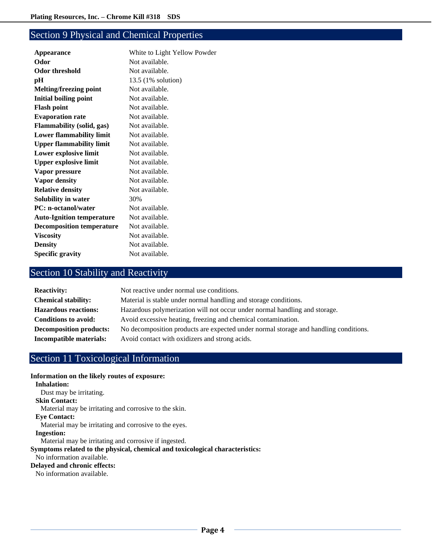# Section 9 Physical and Chemical Properties

| <b>Appearance</b>                | White to Light Yellow Powder |
|----------------------------------|------------------------------|
| Odor                             | Not available.               |
| Odor threshold                   | Not available.               |
| pН                               | 13.5 (1% solution)           |
| <b>Melting/freezing point</b>    | Not available.               |
| <b>Initial boiling point</b>     | Not available.               |
| <b>Flash point</b>               | Not available.               |
| <b>Evaporation rate</b>          | Not available.               |
| <b>Flammability (solid, gas)</b> | Not available.               |
| <b>Lower flammability limit</b>  | Not available.               |
| <b>Upper flammability limit</b>  | Not available.               |
| Lower explosive limit            | Not available.               |
| <b>Upper explosive limit</b>     | Not available.               |
| Vapor pressure                   | Not available.               |
| Vapor density                    | Not available.               |
| <b>Relative density</b>          | Not available.               |
| Solubility in water              | 30%                          |
| <b>PC:</b> n-octanol/water       | Not available.               |
| <b>Auto-Ignition temperature</b> | Not available.               |
| <b>Decomposition temperature</b> | Not available.               |
| <b>Viscosity</b>                 | Not available.               |
| <b>Density</b>                   | Not available.               |
| <b>Specific gravity</b>          | Not available.               |
|                                  |                              |

# Section 10 Stability and Reactivity

| <b>Reactivity:</b>             | Not reactive under normal use conditions.                                            |
|--------------------------------|--------------------------------------------------------------------------------------|
| <b>Chemical stability:</b>     | Material is stable under normal handling and storage conditions.                     |
| <b>Hazardous reactions:</b>    | Hazardous polymerization will not occur under normal handling and storage.           |
| <b>Conditions to avoid:</b>    | Avoid excessive heating, freezing and chemical contamination.                        |
| <b>Decomposition products:</b> | No decomposition products are expected under normal storage and handling conditions. |
| Incompatible materials:        | Avoid contact with oxidizers and strong acids.                                       |

# Section 11 Toxicological Information

#### **Information on the likely routes of exposure:**

```
Inhalation:
   Dust may be irritating.
 Skin Contact:
   Material may be irritating and corrosive to the skin.
 Eye Contact:
   Material may be irritating and corrosive to the eyes.
 Ingestion:
   Material may be irritating and corrosive if ingested.
Symptoms related to the physical, chemical and toxicological characteristics:
 No information available.
Delayed and chronic effects:
 No information available.
```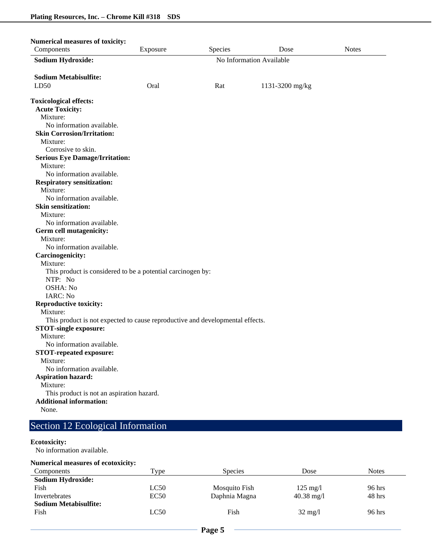| <b>Numerical measures of toxicity:</b>                                        |                          |         |                 |              |
|-------------------------------------------------------------------------------|--------------------------|---------|-----------------|--------------|
| Components                                                                    | Exposure                 | Species | Dose            | <b>Notes</b> |
| <b>Sodium Hydroxide:</b>                                                      | No Information Available |         |                 |              |
| <b>Sodium Metabisulfite:</b>                                                  |                          |         |                 |              |
| LD50                                                                          | Oral                     | Rat     | 1131-3200 mg/kg |              |
|                                                                               |                          |         |                 |              |
| <b>Toxicological effects:</b>                                                 |                          |         |                 |              |
| <b>Acute Toxicity:</b>                                                        |                          |         |                 |              |
| Mixture:                                                                      |                          |         |                 |              |
| No information available.                                                     |                          |         |                 |              |
| <b>Skin Corrosion/Irritation:</b>                                             |                          |         |                 |              |
| Mixture:                                                                      |                          |         |                 |              |
| Corrosive to skin.                                                            |                          |         |                 |              |
| <b>Serious Eye Damage/Irritation:</b>                                         |                          |         |                 |              |
| Mixture:                                                                      |                          |         |                 |              |
| No information available.                                                     |                          |         |                 |              |
| <b>Respiratory sensitization:</b>                                             |                          |         |                 |              |
| Mixture:                                                                      |                          |         |                 |              |
| No information available.                                                     |                          |         |                 |              |
| <b>Skin sensitization:</b>                                                    |                          |         |                 |              |
| Mixture:                                                                      |                          |         |                 |              |
| No information available.                                                     |                          |         |                 |              |
| Germ cell mutagenicity:                                                       |                          |         |                 |              |
| Mixture:                                                                      |                          |         |                 |              |
| No information available.                                                     |                          |         |                 |              |
| Carcinogenicity:                                                              |                          |         |                 |              |
| Mixture:                                                                      |                          |         |                 |              |
| This product is considered to be a potential carcinogen by:                   |                          |         |                 |              |
| NTP: No                                                                       |                          |         |                 |              |
| OSHA: No                                                                      |                          |         |                 |              |
| IARC: No                                                                      |                          |         |                 |              |
| <b>Reproductive toxicity:</b>                                                 |                          |         |                 |              |
| Mixture:                                                                      |                          |         |                 |              |
| This product is not expected to cause reproductive and developmental effects. |                          |         |                 |              |
| <b>STOT-single exposure:</b>                                                  |                          |         |                 |              |
| Mixture:                                                                      |                          |         |                 |              |
| No information available.                                                     |                          |         |                 |              |
| <b>STOT-repeated exposure:</b>                                                |                          |         |                 |              |
| Mixture:                                                                      |                          |         |                 |              |
| No information available.                                                     |                          |         |                 |              |
| <b>Aspiration hazard:</b>                                                     |                          |         |                 |              |
| Mixture:                                                                      |                          |         |                 |              |
| This product is not an aspiration hazard.                                     |                          |         |                 |              |
| <b>Additional information:</b>                                                |                          |         |                 |              |
| None.                                                                         |                          |         |                 |              |

# Section 12 Ecological Information

#### **Ecotoxicity:**

No information available.

#### **Numerical measures of ecotoxicity:**

| Components                   | $_{\text{Type}}$ | <b>Species</b> | Dose                 | <b>Notes</b> |
|------------------------------|------------------|----------------|----------------------|--------------|
| <b>Sodium Hydroxide:</b>     |                  |                |                      |              |
| Fish                         | LC50             | Mosquito Fish  | $125 \text{ mg}/1$   | 96 hrs       |
| Invertebrates                | EC50             | Daphnia Magna  | $40.38 \text{ mg}/1$ | 48 hrs       |
| <b>Sodium Metabisulfite:</b> |                  |                |                      |              |
| Fish                         | LC50             | Fish           | $32 \text{ mg}/1$    | 96 hrs       |
|                              |                  |                |                      |              |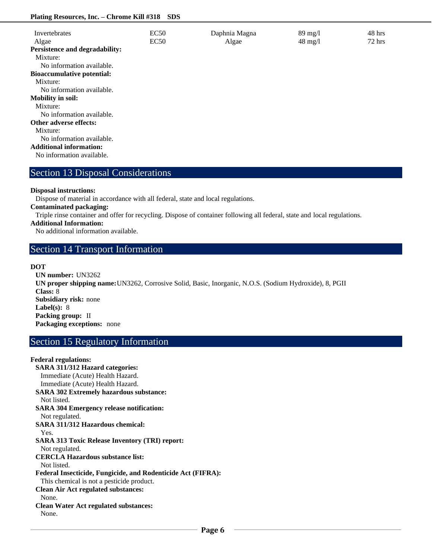#### **Plating Resources, Inc. – Chrome Kill #318 SDS**

| Invertebrates                     | EC50 | Daphnia Magna | $89 \text{ mg}/1$ | 48 hrs   |
|-----------------------------------|------|---------------|-------------------|----------|
| Algae                             | EC50 | Algae         | $48 \text{ mg}/1$ | $72$ hrs |
| Persistence and degradability:    |      |               |                   |          |
| Mixture:                          |      |               |                   |          |
| No information available.         |      |               |                   |          |
| <b>Bioaccumulative potential:</b> |      |               |                   |          |
| Mixture:                          |      |               |                   |          |
| No information available.         |      |               |                   |          |
| <b>Mobility in soil:</b>          |      |               |                   |          |
| Mixture:                          |      |               |                   |          |
| No information available.         |      |               |                   |          |
| <b>Other adverse effects:</b>     |      |               |                   |          |
| Mixture:                          |      |               |                   |          |
| No information available.         |      |               |                   |          |
| <b>Additional information:</b>    |      |               |                   |          |
| No information available.         |      |               |                   |          |
|                                   |      |               |                   |          |

# Section 13 Disposal Considerations

#### **Disposal instructions:**

Dispose of material in accordance with all federal, state and local regulations.

**Contaminated packaging:**

Triple rinse container and offer for recycling. Dispose of container following all federal, state and local regulations.

**Additional Information:**

No additional information available.

## Section 14 Transport Information

#### **DOT**

**UN number:** UN3262 **UN proper shipping name:**UN3262, Corrosive Solid, Basic, Inorganic, N.O.S. (Sodium Hydroxide), 8, PGII **Class:** 8 **Subsidiary risk:** none **Label(s):** 8 **Packing group:** II **Packaging exceptions:** none

# Section 15 Regulatory Information

**Federal regulations: SARA 311/312 Hazard categories:**  Immediate (Acute) Health Hazard. Immediate (Acute) Health Hazard. **SARA 302 Extremely hazardous substance:** Not listed. **SARA 304 Emergency release notification:** Not regulated. **SARA 311/312 Hazardous chemical:** Yes. **SARA 313 Toxic Release Inventory (TRI) report:** Not regulated. **CERCLA Hazardous substance list:** Not listed. **Federal Insecticide, Fungicide, and Rodenticide Act (FIFRA):** This chemical is not a pesticide product. **Clean Air Act regulated substances:** None. **Clean Water Act regulated substances:** None.